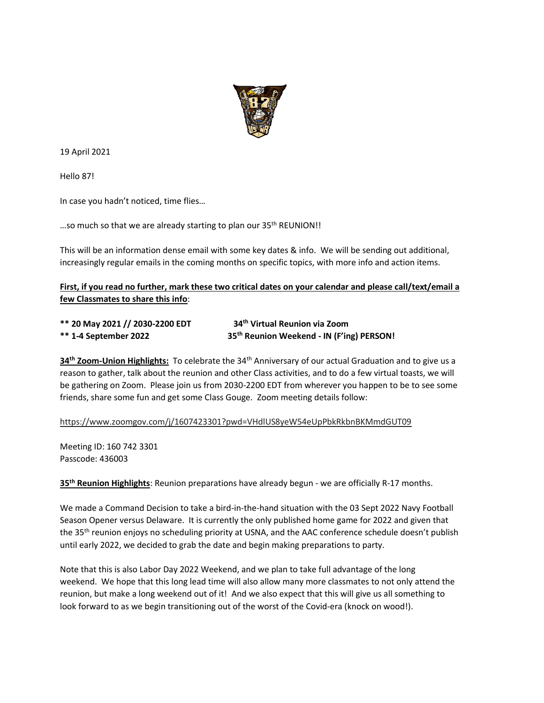

19 April 2021

Hello 87!

In case you hadn't noticed, time flies…

...so much so that we are already starting to plan our 35<sup>th</sup> REUNION!!

This will be an information dense email with some key dates & info. We will be sending out additional, increasingly regular emails in the coming months on specific topics, with more info and action items.

**First, if you read no further, mark these two critical dates on your calendar and please call/text/email a few Classmates to share this info**:

| ** 20 May 2021 // 2030-2200 EDT | 34th Virtual Reunion via Zoom                         |
|---------------------------------|-------------------------------------------------------|
| <b>** 1-4 September 2022</b>    | 35 <sup>th</sup> Reunion Weekend - IN (F'ing) PERSON! |

**34th Zoom-Union Highlights:** To celebrate the 34th Anniversary of our actual Graduation and to give us a reason to gather, talk about the reunion and other Class activities, and to do a few virtual toasts, we will be gathering on Zoom. Please join us from 2030-2200 EDT from wherever you happen to be to see some friends, share some fun and get some Class Gouge. Zoom meeting details follow:

[https://www.zoomgov.com/j/1607423301?pwd=VHdlUS8yeW54eUpPbkRkbnBKMmdGUT09](https://urldefense.com/v3/__https:/usna87.us8.list-manage.com/track/click?u=2684e72b50947e1384ea3ea73&id=47e58e8b44&e=71e63943a2__;!!MvWE!Uc1p6ey5GA4E_mx9Pc6fhzQ08VWDbQ5WLdZnr_S4-nhynQyJkycGvF6IvsemToFKFw$)

Meeting ID: 160 742 3301 Passcode: 436003

**35th Reunion Highlights**: Reunion preparations have already begun - we are officially R-17 months.

We made a Command Decision to take a bird-in-the-hand situation with the 03 Sept 2022 Navy Football Season Opener versus Delaware. It is currently the only published home game for 2022 and given that the 35<sup>th</sup> reunion enjoys no scheduling priority at USNA, and the AAC conference schedule doesn't publish until early 2022, we decided to grab the date and begin making preparations to party.

Note that this is also Labor Day 2022 Weekend, and we plan to take full advantage of the long weekend. We hope that this long lead time will also allow many more classmates to not only attend the reunion, but make a long weekend out of it! And we also expect that this will give us all something to look forward to as we begin transitioning out of the worst of the Covid-era (knock on wood!).